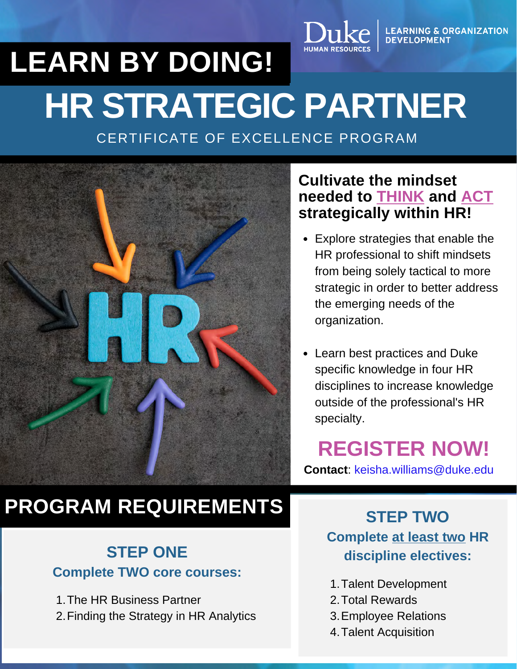# **HR STRATEGIC PARTNER LEARN BY DOING!**

CERTIFICATE OF EXCELLENCE PROGRAM



# **PROGRAM REQUIREMENTS**

### **STEP ONE Complete TWO core courses:**

1. The HR Business Partner 2. Finding the Strategy in HR Analytics

### **Cultivate the mindset needed to THINK and ACT strategically within HR!**

LEARNING & ORGANIZATION<br>DEVELOPMENT

- **Certificate of Excellence**<br> **Certificate of Excellence** Explore strategies that enable the HR professional to shift mindsets from being solely tactical to more strategic in order to better address the emerging needs of the organization.
	- Learn best practices and Duke specific knowledge in four HR disciplines to increase knowledge outside of the professional's HR specialty.

**REGISTER NOW!**

**Contact**[: keisha.williams@duke.edu](http://duke.edu/?Subject=HR+Strategic+Partner+Program)

### **STEP TWO Complete at least two HR discipline electives:**

- 1. Talent Development
- 2. Total Rewards
- 3. Employee Relations
- 4. Talent Acquisition